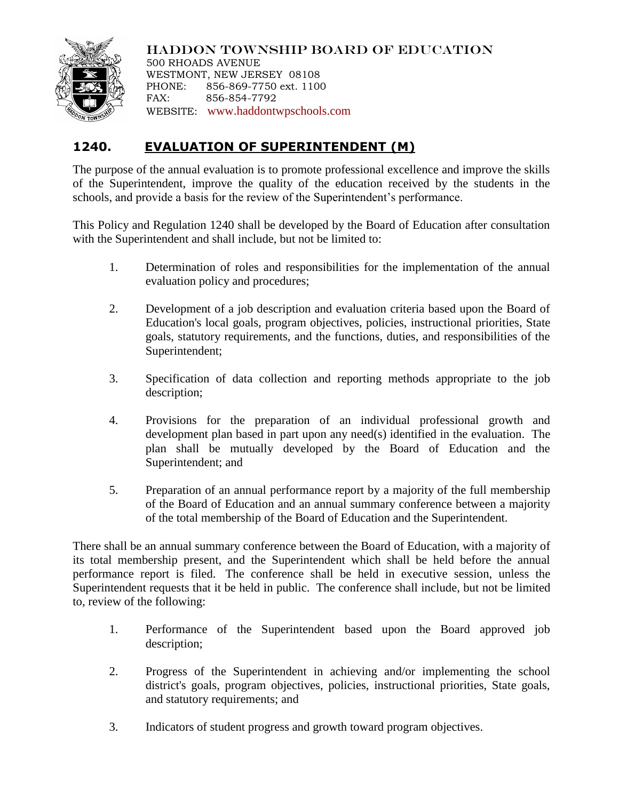

HADDON TOWNSHIP BOARD OF EDUCATION 500 RHOADS AVENUE WESTMONT, NEW JERSEY 08108 PHONE: 856-869-7750 ext. 1100 FAX: 856-854-7792 WEBSITE: [www.haddontwpschools.com](http://www.haddontwpschools.com/)

## **1240. EVALUATION OF SUPERINTENDENT (M)**

The purpose of the annual evaluation is to promote professional excellence and improve the skills of the Superintendent, improve the quality of the education received by the students in the schools, and provide a basis for the review of the Superintendent's performance.

This Policy and Regulation 1240 shall be developed by the Board of Education after consultation with the Superintendent and shall include, but not be limited to:

- 1. Determination of roles and responsibilities for the implementation of the annual evaluation policy and procedures;
- 2. Development of a job description and evaluation criteria based upon the Board of Education's local goals, program objectives, policies, instructional priorities, State goals, statutory requirements, and the functions, duties, and responsibilities of the Superintendent;
- 3. Specification of data collection and reporting methods appropriate to the job description;
- 4. Provisions for the preparation of an individual professional growth and development plan based in part upon any need(s) identified in the evaluation. The plan shall be mutually developed by the Board of Education and the Superintendent; and
- 5. Preparation of an annual performance report by a majority of the full membership of the Board of Education and an annual summary conference between a majority of the total membership of the Board of Education and the Superintendent.

There shall be an annual summary conference between the Board of Education, with a majority of its total membership present, and the Superintendent which shall be held before the annual performance report is filed. The conference shall be held in executive session, unless the Superintendent requests that it be held in public. The conference shall include, but not be limited to, review of the following:

- 1. Performance of the Superintendent based upon the Board approved job description;
- 2. Progress of the Superintendent in achieving and/or implementing the school district's goals, program objectives, policies, instructional priorities, State goals, and statutory requirements; and
- 3. Indicators of student progress and growth toward program objectives.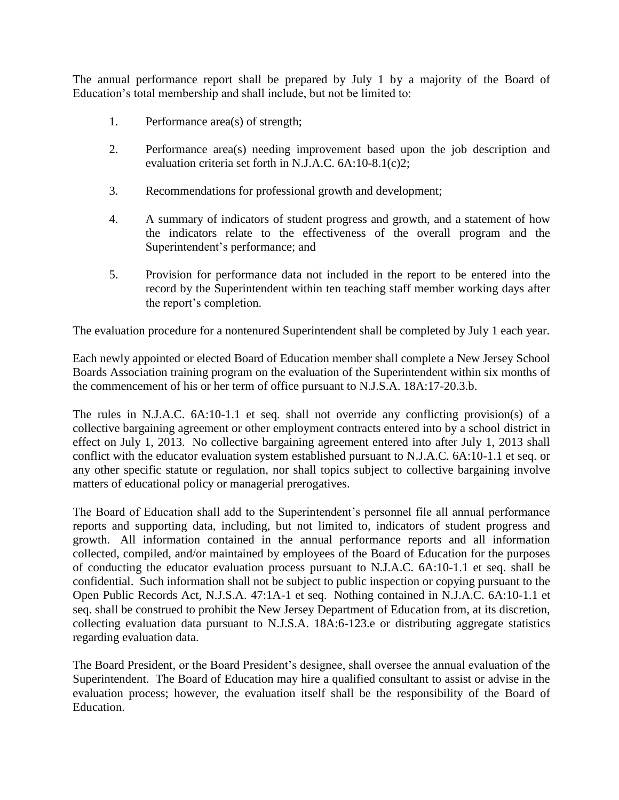The annual performance report shall be prepared by July 1 by a majority of the Board of Education's total membership and shall include, but not be limited to:

- 1. Performance area(s) of strength;
- 2. Performance area(s) needing improvement based upon the job description and evaluation criteria set forth in N.J.A.C. 6A:10-8.1(c)2;
- 3. Recommendations for professional growth and development;
- 4. A summary of indicators of student progress and growth, and a statement of how the indicators relate to the effectiveness of the overall program and the Superintendent's performance; and
- 5. Provision for performance data not included in the report to be entered into the record by the Superintendent within ten teaching staff member working days after the report's completion.

The evaluation procedure for a nontenured Superintendent shall be completed by July 1 each year.

Each newly appointed or elected Board of Education member shall complete a New Jersey School Boards Association training program on the evaluation of the Superintendent within six months of the commencement of his or her term of office pursuant to N.J.S.A. 18A:17-20.3.b.

The rules in N.J.A.C. 6A:10-1.1 et seq. shall not override any conflicting provision(s) of a collective bargaining agreement or other employment contracts entered into by a school district in effect on July 1, 2013. No collective bargaining agreement entered into after July 1, 2013 shall conflict with the educator evaluation system established pursuant to N.J.A.C. 6A:10-1.1 et seq. or any other specific statute or regulation, nor shall topics subject to collective bargaining involve matters of educational policy or managerial prerogatives.

The Board of Education shall add to the Superintendent's personnel file all annual performance reports and supporting data, including, but not limited to, indicators of student progress and growth. All information contained in the annual performance reports and all information collected, compiled, and/or maintained by employees of the Board of Education for the purposes of conducting the educator evaluation process pursuant to N.J.A.C. 6A:10-1.1 et seq. shall be confidential. Such information shall not be subject to public inspection or copying pursuant to the Open Public Records Act, N.J.S.A. 47:1A-1 et seq. Nothing contained in N.J.A.C. 6A:10-1.1 et seq. shall be construed to prohibit the New Jersey Department of Education from, at its discretion, collecting evaluation data pursuant to N.J.S.A. 18A:6-123.e or distributing aggregate statistics regarding evaluation data.

The Board President, or the Board President's designee, shall oversee the annual evaluation of the Superintendent. The Board of Education may hire a qualified consultant to assist or advise in the evaluation process; however, the evaluation itself shall be the responsibility of the Board of Education.